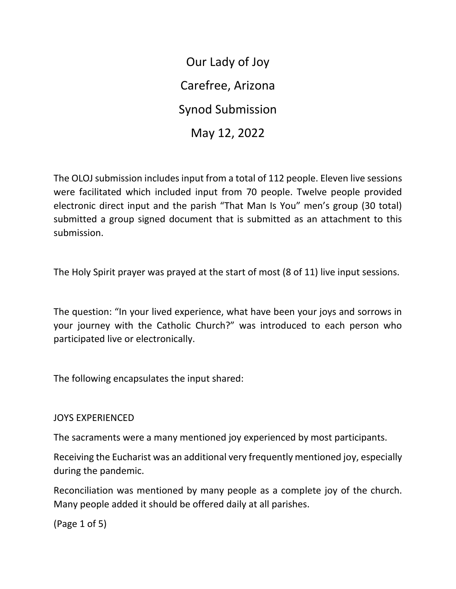Our Lady of Joy Carefree, Arizona Synod Submission May 12, 2022

The OLOJ submission includes input from a total of 112 people. Eleven live sessions were facilitated which included input from 70 people. Twelve people provided electronic direct input and the parish "That Man Is You" men's group (30 total) submitted a group signed document that is submitted as an attachment to this submission.

The Holy Spirit prayer was prayed at the start of most (8 of 11) live input sessions.

The question: "In your lived experience, what have been your joys and sorrows in your journey with the Catholic Church?" was introduced to each person who participated live or electronically.

The following encapsulates the input shared:

## JOYS EXPERIENCED

The sacraments were a many mentioned joy experienced by most participants.

Receiving the Eucharist was an additional very frequently mentioned joy, especially during the pandemic.

Reconciliation was mentioned by many people as a complete joy of the church. Many people added it should be offered daily at all parishes.

(Page 1 of 5)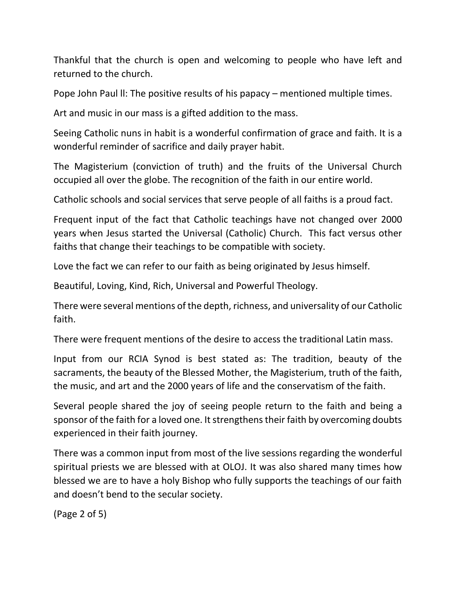Thankful that the church is open and welcoming to people who have left and returned to the church.

Pope John Paul ll: The positive results of his papacy – mentioned multiple times.

Art and music in our mass is a gifted addition to the mass.

Seeing Catholic nuns in habit is a wonderful confirmation of grace and faith. It is a wonderful reminder of sacrifice and daily prayer habit.

The Magisterium (conviction of truth) and the fruits of the Universal Church occupied all over the globe. The recognition of the faith in our entire world.

Catholic schools and social services that serve people of all faiths is a proud fact.

Frequent input of the fact that Catholic teachings have not changed over 2000 years when Jesus started the Universal (Catholic) Church. This fact versus other faiths that change their teachings to be compatible with society.

Love the fact we can refer to our faith as being originated by Jesus himself.

Beautiful, Loving, Kind, Rich, Universal and Powerful Theology.

There were several mentions of the depth, richness, and universality of our Catholic faith.

There were frequent mentions of the desire to access the traditional Latin mass.

Input from our RCIA Synod is best stated as: The tradition, beauty of the sacraments, the beauty of the Blessed Mother, the Magisterium, truth of the faith, the music, and art and the 2000 years of life and the conservatism of the faith.

Several people shared the joy of seeing people return to the faith and being a sponsor of the faith for a loved one. It strengthens their faith by overcoming doubts experienced in their faith journey.

There was a common input from most of the live sessions regarding the wonderful spiritual priests we are blessed with at OLOJ. It was also shared many times how blessed we are to have a holy Bishop who fully supports the teachings of our faith and doesn't bend to the secular society.

(Page 2 of 5)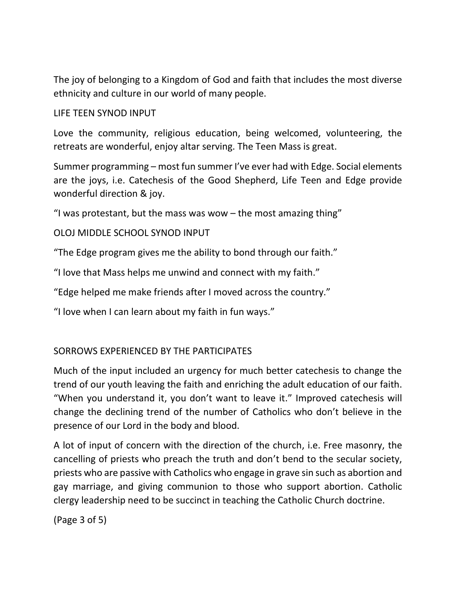The joy of belonging to a Kingdom of God and faith that includes the most diverse ethnicity and culture in our world of many people.

LIFE TEEN SYNOD INPUT

Love the community, religious education, being welcomed, volunteering, the retreats are wonderful, enjoy altar serving. The Teen Mass is great.

Summer programming – most fun summer I've ever had with Edge. Social elements are the joys, i.e. Catechesis of the Good Shepherd, Life Teen and Edge provide wonderful direction & joy.

"I was protestant, but the mass was wow  $-$  the most amazing thing"

OLOJ MIDDLE SCHOOL SYNOD INPUT

"The Edge program gives me the ability to bond through our faith."

"I love that Mass helps me unwind and connect with my faith."

"Edge helped me make friends after I moved across the country."

"I love when I can learn about my faith in fun ways."

## SORROWS EXPERIENCED BY THE PARTICIPATES

Much of the input included an urgency for much better catechesis to change the trend of our youth leaving the faith and enriching the adult education of our faith. "When you understand it, you don't want to leave it." Improved catechesis will change the declining trend of the number of Catholics who don't believe in the presence of our Lord in the body and blood.

A lot of input of concern with the direction of the church, i.e. Free masonry, the cancelling of priests who preach the truth and don't bend to the secular society, priests who are passive with Catholics who engage in grave sin such as abortion and gay marriage, and giving communion to those who support abortion. Catholic clergy leadership need to be succinct in teaching the Catholic Church doctrine.

(Page 3 of 5)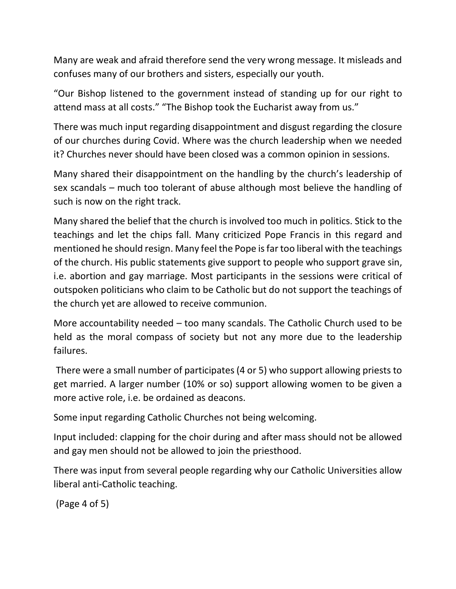Many are weak and afraid therefore send the very wrong message. It misleads and confuses many of our brothers and sisters, especially our youth.

"Our Bishop listened to the government instead of standing up for our right to attend mass at all costs." "The Bishop took the Eucharist away from us."

There was much input regarding disappointment and disgust regarding the closure of our churches during Covid. Where was the church leadership when we needed it? Churches never should have been closed was a common opinion in sessions.

Many shared their disappointment on the handling by the church's leadership of sex scandals – much too tolerant of abuse although most believe the handling of such is now on the right track.

Many shared the belief that the church is involved too much in politics. Stick to the teachings and let the chips fall. Many criticized Pope Francis in this regard and mentioned he should resign. Many feel the Pope is far too liberal with the teachings of the church. His public statements give support to people who support grave sin, i.e. abortion and gay marriage. Most participants in the sessions were critical of outspoken politicians who claim to be Catholic but do not support the teachings of the church yet are allowed to receive communion.

More accountability needed – too many scandals. The Catholic Church used to be held as the moral compass of society but not any more due to the leadership failures.

There were a small number of participates (4 or 5) who support allowing priests to get married. A larger number (10% or so) support allowing women to be given a more active role, i.e. be ordained as deacons.

Some input regarding Catholic Churches not being welcoming.

Input included: clapping for the choir during and after mass should not be allowed and gay men should not be allowed to join the priesthood.

There was input from several people regarding why our Catholic Universities allow liberal anti-Catholic teaching.

(Page 4 of 5)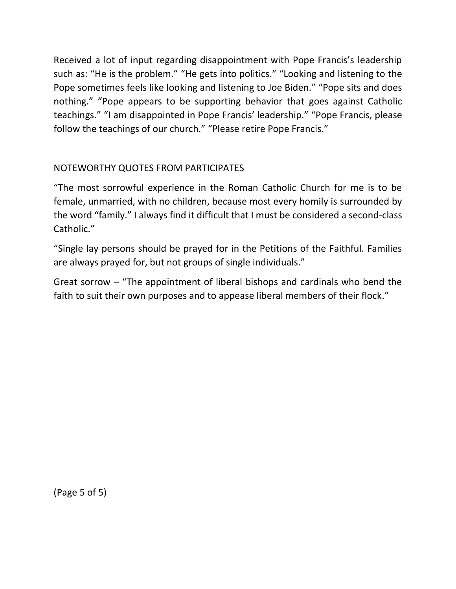Received a lot of input regarding disappointment with Pope Francis's leadership such as: "He is the problem." "He gets into politics." "Looking and listening to the Pope sometimes feels like looking and listening to Joe Biden." "Pope sits and does nothing." "Pope appears to be supporting behavior that goes against Catholic teachings." "I am disappointed in Pope Francis' leadership." "Pope Francis, please follow the teachings of our church." "Please retire Pope Francis."

## NOTEWORTHY QUOTES FROM PARTICIPATES

"The most sorrowful experience in the Roman Catholic Church for me is to be female, unmarried, with no children, because most every homily is surrounded by the word "family." I always find it difficult that I must be considered a second-class Catholic."

"Single lay persons should be prayed for in the Petitions of the Faithful. Families are always prayed for, but not groups of single individuals."

Great sorrow – "The appointment of liberal bishops and cardinals who bend the faith to suit their own purposes and to appease liberal members of their flock."

(Page 5 of 5)